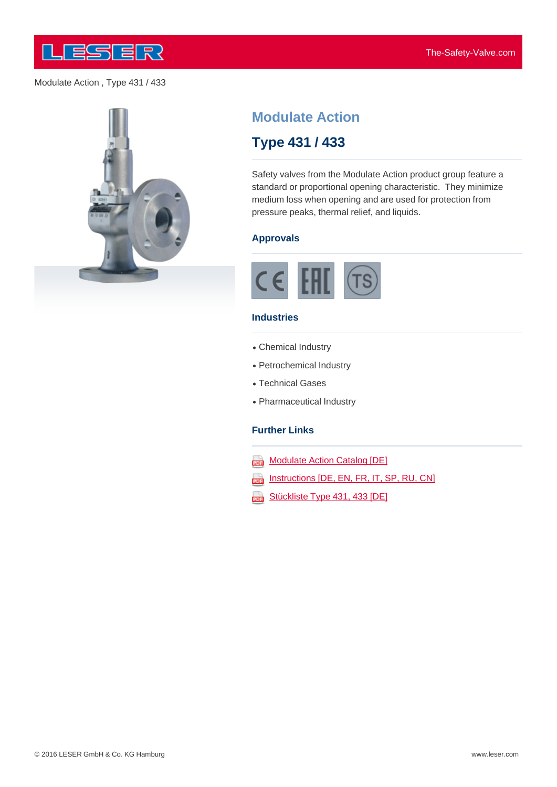



# **Modulate Action**

## **Type 431 / 433**

Safety valves from the Modulate Action product group feature a standard or proportional opening characteristic. They minimize medium loss when opening and are used for protection from pressure peaks, thermal relief, and liquids.

## **Approvals**



#### **Industries**

- Chemical Industry
- Petrochemical Industry
- Technical Gases
- Pharmaceutical Industry

## **Further Links**

- **Modulate Action Catalog [DE]**
- Instructions [DE, EN, FR, IT, SP, RU, CN] 203
- [Stückliste](http://www.leser.com/fileadmin/content/Download/broschueren&kataloge/Kataloge/Modulate Action/Modulate_Action_Katalog_DE_10_2015.pdf) [Type](http://www.leser.com/fileadmin/content/Download/broschueren&kataloge/Kataloge/Modulate Action/Modulate_Action_Katalog_DE_10_2015.pdf) [4](http://www.leser.com/fileadmin/content/Download/broschueren&kataloge/Kataloge/Modulate Action/Modulate_Action_Katalog_DE_10_2015.pdf)31, [433](http://www.leser.com/fileadmin/content/Download/broschueren&kataloge/Kataloge/Modulate Action/Modulate_Action_Katalog_DE_10_2015.pdf) [\[DE\]](http://www.leser.com/fileadmin/content/Download/broschueren&kataloge/Kataloge/Modulate Action/Modulate_Action_Katalog_DE_10_2015.pdf)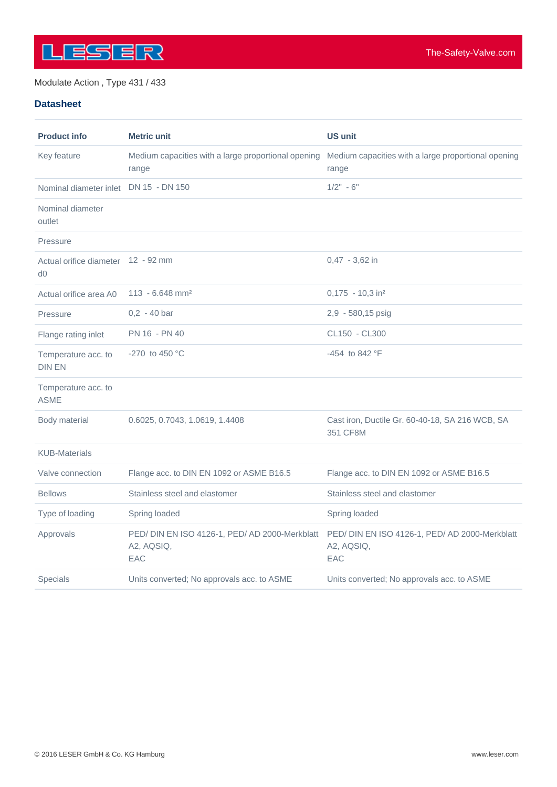

#### Modulate Action , Type 431 / 433

#### **Datasheet**

| <b>Product info</b>                      | <b>Metric unit</b>                                                  | <b>US unit</b>                                                             |
|------------------------------------------|---------------------------------------------------------------------|----------------------------------------------------------------------------|
| Key feature                              | Medium capacities with a large proportional opening<br>range        | Medium capacities with a large proportional opening<br>range               |
| Nominal diameter inlet                   | DN 15 - DN 150                                                      | $1/2" - 6"$                                                                |
| Nominal diameter<br>outlet               |                                                                     |                                                                            |
| Pressure                                 |                                                                     |                                                                            |
| Actual orifice diameter 12 - 92 mm<br>d0 |                                                                     | $0,47 - 3,62$ in                                                           |
| Actual orifice area A0                   | $113 - 6.648$ mm <sup>2</sup>                                       | $0,175 - 10,3$ in <sup>2</sup>                                             |
| Pressure                                 | $0,2 - 40$ bar                                                      | 2,9 - 580,15 psig                                                          |
| Flange rating inlet                      | PN 16 - PN 40                                                       | CL150 - CL300                                                              |
| Temperature acc. to<br><b>DIN EN</b>     | -270 to 450 $^{\circ}$ C                                            | -454 to 842 °F                                                             |
| Temperature acc. to<br><b>ASME</b>       |                                                                     |                                                                            |
| Body material                            | 0.6025, 0.7043, 1.0619, 1.4408                                      | Cast iron, Ductile Gr. 60-40-18, SA 216 WCB, SA<br>351 CF8M                |
| <b>KUB-Materials</b>                     |                                                                     |                                                                            |
| Valve connection                         | Flange acc. to DIN EN 1092 or ASME B16.5                            | Flange acc. to DIN EN 1092 or ASME B16.5                                   |
| <b>Bellows</b>                           | Stainless steel and elastomer                                       | Stainless steel and elastomer                                              |
| Type of loading                          | Spring loaded                                                       | Spring loaded                                                              |
| Approvals                                | PED/ DIN EN ISO 4126-1, PED/ AD 2000-Merkblatt<br>A2, AQSIQ,<br>EAC | PED/ DIN EN ISO 4126-1, PED/ AD 2000-Merkblatt<br>A2, AQSIQ,<br><b>EAC</b> |
| Specials                                 | Units converted; No approvals acc. to ASME                          | Units converted; No approvals acc. to ASME                                 |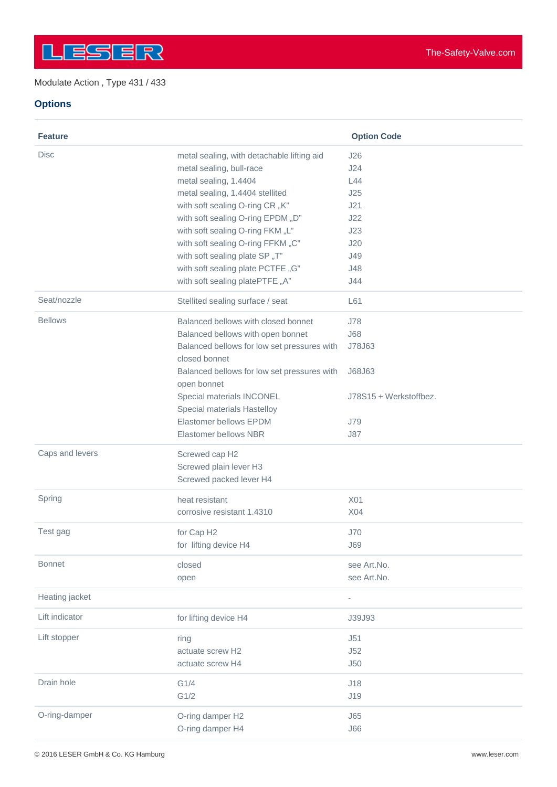Modulate Action , Type 431 / 433

## **Options**

| <b>Feature</b>  |                                                              | <b>Option Code</b>       |
|-----------------|--------------------------------------------------------------|--------------------------|
| <b>Disc</b>     | metal sealing, with detachable lifting aid                   | J26                      |
|                 | metal sealing, bull-race                                     | J24                      |
|                 | metal sealing, 1.4404                                        | L44                      |
|                 | metal sealing, 1.4404 stellited                              | J25                      |
|                 | with soft sealing O-ring CR "K"                              | J21                      |
|                 | with soft sealing O-ring EPDM "D"                            | J22                      |
|                 | with soft sealing O-ring FKM "L"                             | J23                      |
|                 | with soft sealing O-ring FFKM "C"                            | J20                      |
|                 | with soft sealing plate SP "T"                               | J49                      |
|                 | with soft sealing plate PCTFE "G"                            | <b>J48</b>               |
|                 | with soft sealing platePTFE "A"                              | J44                      |
| Seat/nozzle     | Stellited sealing surface / seat                             | L61                      |
| <b>Bellows</b>  | Balanced bellows with closed bonnet                          | <b>J78</b>               |
|                 | Balanced bellows with open bonnet                            | <b>J68</b>               |
|                 | Balanced bellows for low set pressures with<br>closed bonnet | J78J63                   |
|                 | Balanced bellows for low set pressures with<br>open bonnet   | J68J63                   |
|                 | Special materials INCONEL                                    | J78S15 + Werkstoffbez.   |
|                 | Special materials Hastelloy                                  |                          |
|                 | Elastomer bellows EPDM                                       | J79                      |
|                 | Elastomer bellows NBR                                        | <b>J87</b>               |
| Caps and levers | Screwed cap H2                                               |                          |
|                 | Screwed plain lever H3                                       |                          |
|                 | Screwed packed lever H4                                      |                          |
| Spring          | heat resistant                                               | X01                      |
|                 | corrosive resistant 1.4310                                   | X04                      |
| Test gag        | for Cap H2                                                   | J70                      |
|                 | for lifting device H4                                        | <b>J69</b>               |
| <b>Bonnet</b>   | closed                                                       | see Art.No.              |
|                 | open                                                         | see Art.No.              |
| Heating jacket  |                                                              | $\overline{\phantom{0}}$ |
| Lift indicator  | for lifting device H4                                        | J39J93                   |
| Lift stopper    | ring                                                         | J51                      |
|                 | actuate screw H2                                             | J52                      |
|                 | actuate screw H4                                             | J50                      |
| Drain hole      | G1/4                                                         | J18                      |
|                 | G1/2                                                         | J19                      |
| O-ring-damper   | O-ring damper H2                                             | J65                      |
|                 | O-ring damper H4                                             | <b>J66</b>               |